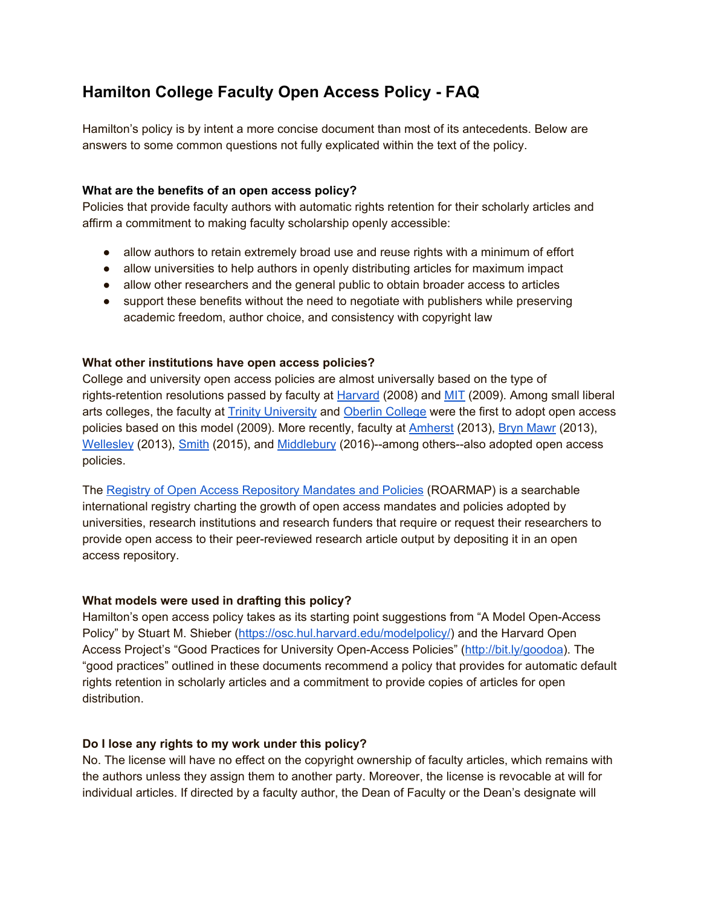# **Hamilton College Faculty Open Access Policy - FAQ**

Hamilton's policy is by intent a more concise document than most of its antecedents. Below are answers to some common questions not fully explicated within the text of the policy.

### **What are the benefits of an open access policy?**

Policies that provide faculty authors with automatic rights retention for their scholarly articles and affirm a commitment to making faculty scholarship openly accessible:

- allow authors to retain extremely broad use and reuse rights with a minimum of effort
- allow universities to help authors in openly distributing articles for maximum impact
- allow other researchers and the general public to obtain broader access to articles
- support these benefits without the need to negotiate with publishers while preserving academic freedom, author choice, and consistency with copyright law

#### **What other institutions have open access policies?**

College and university open access policies are almost universally based on the type of rights-retention resolutions passed by faculty at [Harvard](https://osc.hul.harvard.edu/policies/fas/) (2008) and [MIT](https://libraries.mit.edu/scholarly/mit-open-access/open-access-policy/) (2009). Among small liberal arts colleges, the faculty at [Trinity University](http://lib.trinity.edu/edocs/Trinity_University_Open_Access_Policy.pdf) and [Oberlin College](http://oberlin.edu/library/programs/openaccess/resolution.html) were the first to adopt open access policies based on this model (2009). More recently, faculty at [Amherst](https://www.amherst.edu/library/services/facstaff/openaccessresolution) (2013), [Bryn Mawr](http://www.brynmawr.edu/openaccess/) (2013), [Wellesley](http://www.wellesley.edu/provost/policies/openaccess) (2013), [Smith](http://www.smith.edu/libraries/info/open-access) (2015), and [Middlebury](http://sites.middlebury.edu/openaccess/open-access-policy/) (2016)--among others--also adopted open access policies.

The [Registry of Open Access Repository Mandates and Policies](http://roarmap.eprints.org/) (ROARMAP) is a searchable international registry charting the growth of open access mandates and policies adopted by universities, research institutions and research funders that require or request their researchers to provide open access to their peer-reviewed research article output by depositing it in an open access repository.

#### **What models were used in drafting this policy?**

Hamilton's open access policy takes as its starting point suggestions from "A Model Open-Access Policy" by Stuart M. Shieber [\(https://osc.hul.harvard.edu/modelpolicy/\)](https://osc.hul.harvard.edu/modelpolicy/) and the Harvard Open Access Project's "Good Practices for University Open-Access Policies" [\(http://bit.ly/goodoa\)](http://bit.ly/goodoa). The "good practices" outlined in these documents recommend a policy that provides for automatic default rights retention in scholarly articles and a commitment to provide copies of articles for open distribution.

## **Do I lose any rights to my work under this policy?**

No. The license will have no effect on the copyright ownership of faculty articles, which remains with the authors unless they assign them to another party. Moreover, the license is revocable at will for individual articles. If directed by a faculty author, the Dean of Faculty or the Dean's designate will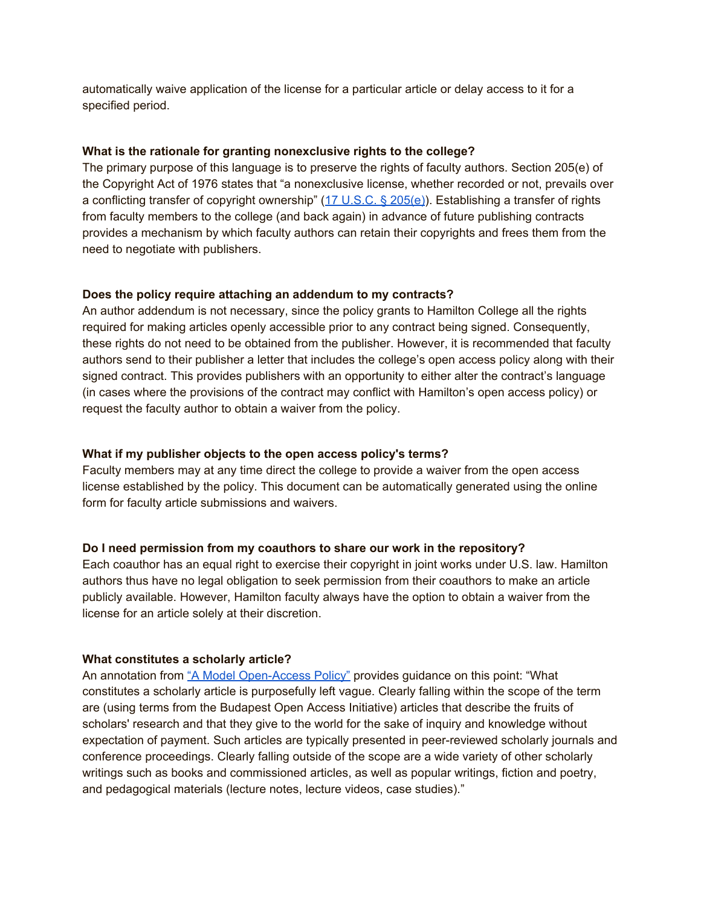automatically waive application of the license for a particular article or delay access to it for a specified period.

#### **What is the rationale for granting nonexclusive rights to the college?**

The primary purpose of this language is to preserve the rights of faculty authors. Section 205(e) of the Copyright Act of 1976 states that "a nonexclusive license, whether recorded or not, prevails over a conflicting transfer of copyright ownership" ([17 U.S.C. § 205\(e\)\)](http://codes.lp.findlaw.com/uscode/17/2/205). Establishing a transfer of rights from faculty members to the college (and back again) in advance of future publishing contracts provides a mechanism by which faculty authors can retain their copyrights and frees them from the need to negotiate with publishers.

#### **Does the policy require attaching an addendum to my contracts?**

An author addendum is not necessary, since the policy grants to Hamilton College all the rights required for making articles openly accessible prior to any contract being signed. Consequently, these rights do not need to be obtained from the publisher. However, it is recommended that faculty authors send to their publisher a letter that includes the college's open access policy along with their signed contract. This provides publishers with an opportunity to either alter the contract's language (in cases where the provisions of the contract may conflict with Hamilton's open access policy) or request the faculty author to obtain a waiver from the policy.

#### **What if my publisher objects to the open access policy's terms?**

Faculty members may at any time direct the college to provide a waiver from the open access license established by the policy. This document can be automatically generated using the online form for faculty article submissions and waivers.

#### **Do I need permission from my coauthors to share our work in the repository?**

Each coauthor has an equal right to exercise their copyright in joint works under U.S. law. Hamilton authors thus have no legal obligation to seek permission from their coauthors to make an article publicly available. However, Hamilton faculty always have the option to obtain a waiver from the license for an article solely at their discretion.

#### **What constitutes a scholarly article?**

An annotation from ["A Model Open-Access Policy"](https://osc.hul.harvard.edu/modelpolicy/) provides guidance on this point: "What constitutes a scholarly article is purposefully left vague. Clearly falling within the scope of the term are (using terms from the Budapest Open Access Initiative) articles that describe the fruits of scholars' research and that they give to the world for the sake of inquiry and knowledge without expectation of payment. Such articles are typically presented in peer-reviewed scholarly journals and conference proceedings. Clearly falling outside of the scope are a wide variety of other scholarly writings such as books and commissioned articles, as well as popular writings, fiction and poetry, and pedagogical materials (lecture notes, lecture videos, case studies)."